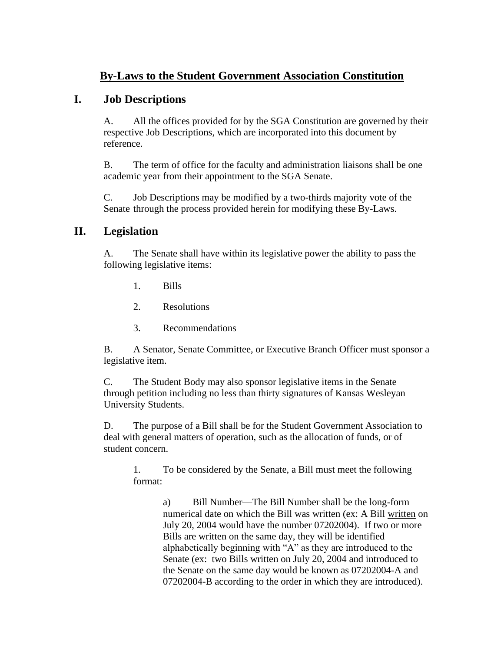# **By-Laws to the Student Government Association Constitution**

#### **I. Job Descriptions**

A. All the offices provided for by the SGA Constitution are governed by their respective Job Descriptions, which are incorporated into this document by reference.

B. The term of office for the faculty and administration liaisons shall be one academic year from their appointment to the SGA Senate.

C. Job Descriptions may be modified by a two-thirds majority vote of the Senate through the process provided herein for modifying these By-Laws.

#### **II. Legislation**

A. The Senate shall have within its legislative power the ability to pass the following legislative items:

- 1. Bills
- 2. Resolutions
- 3. Recommendations

B. A Senator, Senate Committee, or Executive Branch Officer must sponsor a legislative item.

C. The Student Body may also sponsor legislative items in the Senate through petition including no less than thirty signatures of Kansas Wesleyan University Students.

D. The purpose of a Bill shall be for the Student Government Association to deal with general matters of operation, such as the allocation of funds, or of student concern.

1. To be considered by the Senate, a Bill must meet the following format:

> a) Bill Number—The Bill Number shall be the long-form numerical date on which the Bill was written (ex: A Bill written on July 20, 2004 would have the number 07202004). If two or more Bills are written on the same day, they will be identified alphabetically beginning with "A" as they are introduced to the Senate (ex: two Bills written on July 20, 2004 and introduced to the Senate on the same day would be known as 07202004-A and 07202004-B according to the order in which they are introduced).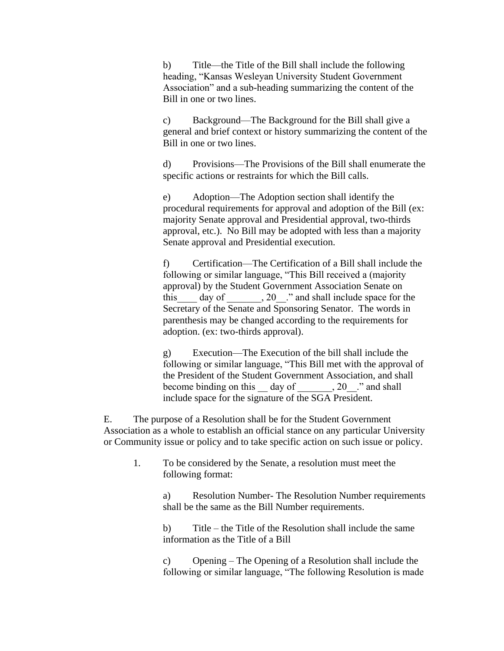b) Title—the Title of the Bill shall include the following heading, "Kansas Wesleyan University Student Government Association" and a sub-heading summarizing the content of the Bill in one or two lines.

c) Background—The Background for the Bill shall give a general and brief context or history summarizing the content of the Bill in one or two lines.

d) Provisions—The Provisions of the Bill shall enumerate the specific actions or restraints for which the Bill calls.

e) Adoption—The Adoption section shall identify the procedural requirements for approval and adoption of the Bill (ex: majority Senate approval and Presidential approval, two-thirds approval, etc.). No Bill may be adopted with less than a majority Senate approval and Presidential execution.

f) Certification—The Certification of a Bill shall include the following or similar language, "This Bill received a (majority approval) by the Student Government Association Senate on this day of  $\qquad$ , 20  $\therefore$  and shall include space for the Secretary of the Senate and Sponsoring Senator. The words in parenthesis may be changed according to the requirements for adoption. (ex: two-thirds approval).

g) Execution—The Execution of the bill shall include the following or similar language, "This Bill met with the approval of the President of the Student Government Association, and shall become binding on this day of  $\qquad \qquad$ , 20  $\qquad$ ." and shall include space for the signature of the SGA President.

E. The purpose of a Resolution shall be for the Student Government Association as a whole to establish an official stance on any particular University or Community issue or policy and to take specific action on such issue or policy.

1. To be considered by the Senate, a resolution must meet the following format:

> a) Resolution Number- The Resolution Number requirements shall be the same as the Bill Number requirements.

b) Title – the Title of the Resolution shall include the same information as the Title of a Bill

c) Opening – The Opening of a Resolution shall include the following or similar language, "The following Resolution is made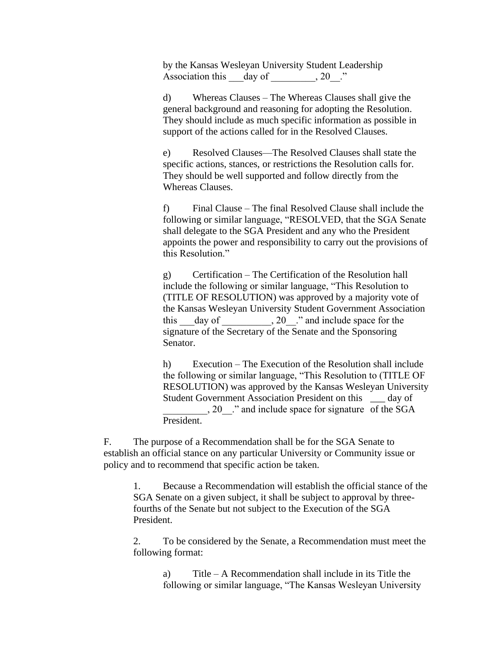by the Kansas Wesleyan University Student Leadership Association this  $\frac{1}{2}$  day of  $\frac{1}{2}$ , 20  $\frac{1}{2}$ 

d) Whereas Clauses – The Whereas Clauses shall give the general background and reasoning for adopting the Resolution. They should include as much specific information as possible in support of the actions called for in the Resolved Clauses.

e) Resolved Clauses—The Resolved Clauses shall state the specific actions, stances, or restrictions the Resolution calls for. They should be well supported and follow directly from the Whereas Clauses.

f) Final Clause – The final Resolved Clause shall include the following or similar language, "RESOLVED, that the SGA Senate shall delegate to the SGA President and any who the President appoints the power and responsibility to carry out the provisions of this Resolution."

g) Certification – The Certification of the Resolution hall include the following or similar language, "This Resolution to (TITLE OF RESOLUTION) was approved by a majority vote of the Kansas Wesleyan University Student Government Association this <u>day of 3.1.1.</u> All the space for the discussed and include space for the signature of the Secretary of the Senate and the Sponsoring Senator.

h) Execution – The Execution of the Resolution shall include the following or similar language, "This Resolution to (TITLE OF RESOLUTION) was approved by the Kansas Wesleyan University Student Government Association President on this day of . 20 . " and include space for signature of the SGA President.

F. The purpose of a Recommendation shall be for the SGA Senate to establish an official stance on any particular University or Community issue or policy and to recommend that specific action be taken.

1. Because a Recommendation will establish the official stance of the SGA Senate on a given subject, it shall be subject to approval by threefourths of the Senate but not subject to the Execution of the SGA President.

2. To be considered by the Senate, a Recommendation must meet the following format:

a) Title – A Recommendation shall include in its Title the following or similar language, "The Kansas Wesleyan University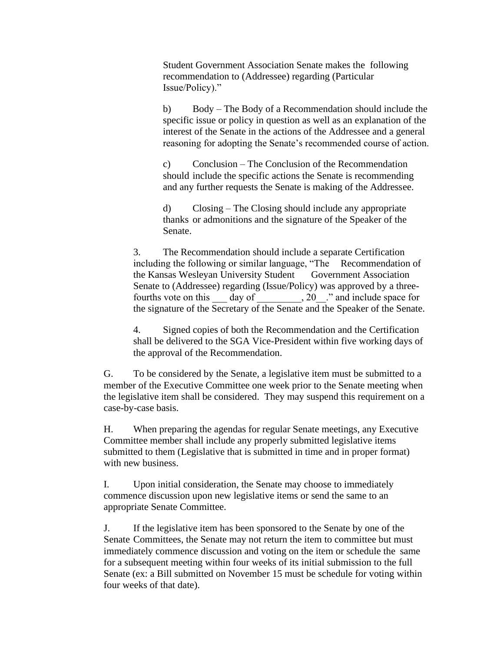Student Government Association Senate makes the following recommendation to (Addressee) regarding (Particular Issue/Policy)."

b) Body – The Body of a Recommendation should include the specific issue or policy in question as well as an explanation of the interest of the Senate in the actions of the Addressee and a general reasoning for adopting the Senate's recommended course of action.

c) Conclusion – The Conclusion of the Recommendation should include the specific actions the Senate is recommending and any further requests the Senate is making of the Addressee.

d) Closing – The Closing should include any appropriate thanks or admonitions and the signature of the Speaker of the Senate.

3. The Recommendation should include a separate Certification including the following or similar language, "The Recommendation of the Kansas Wesleyan University Student Government Association Senate to (Addressee) regarding (Issue/Policy) was approved by a threefourths vote on this day of , 20 ." and include space for the signature of the Secretary of the Senate and the Speaker of the Senate.

4. Signed copies of both the Recommendation and the Certification shall be delivered to the SGA Vice-President within five working days of the approval of the Recommendation.

G. To be considered by the Senate, a legislative item must be submitted to a member of the Executive Committee one week prior to the Senate meeting when the legislative item shall be considered. They may suspend this requirement on a case-by-case basis.

H. When preparing the agendas for regular Senate meetings, any Executive Committee member shall include any properly submitted legislative items submitted to them (Legislative that is submitted in time and in proper format) with new business.

I. Upon initial consideration, the Senate may choose to immediately commence discussion upon new legislative items or send the same to an appropriate Senate Committee.

J. If the legislative item has been sponsored to the Senate by one of the Senate Committees, the Senate may not return the item to committee but must immediately commence discussion and voting on the item or schedule the same for a subsequent meeting within four weeks of its initial submission to the full Senate (ex: a Bill submitted on November 15 must be schedule for voting within four weeks of that date).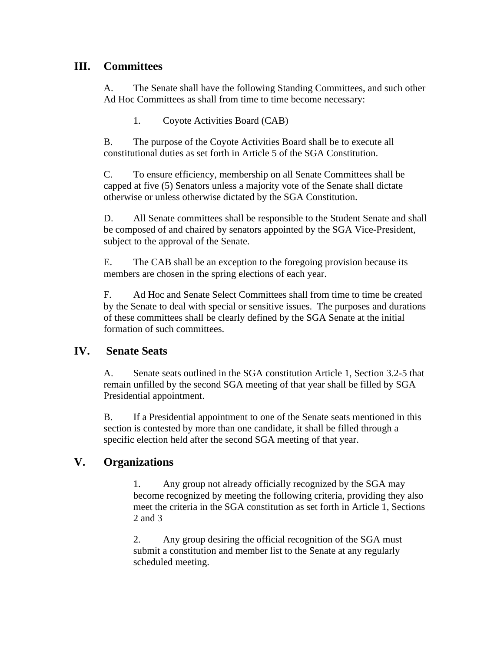## **III. Committees**

A. The Senate shall have the following Standing Committees, and such other Ad Hoc Committees as shall from time to time become necessary:

1. Coyote Activities Board (CAB)

B. The purpose of the Coyote Activities Board shall be to execute all constitutional duties as set forth in Article 5 of the SGA Constitution.

C. To ensure efficiency, membership on all Senate Committees shall be capped at five (5) Senators unless a majority vote of the Senate shall dictate otherwise or unless otherwise dictated by the SGA Constitution.

D. All Senate committees shall be responsible to the Student Senate and shall be composed of and chaired by senators appointed by the SGA Vice-President, subject to the approval of the Senate.

E. The CAB shall be an exception to the foregoing provision because its members are chosen in the spring elections of each year.

F. Ad Hoc and Senate Select Committees shall from time to time be created by the Senate to deal with special or sensitive issues. The purposes and durations of these committees shall be clearly defined by the SGA Senate at the initial formation of such committees.

### **IV. Senate Seats**

A. Senate seats outlined in the SGA constitution Article 1, Section 3.2-5 that remain unfilled by the second SGA meeting of that year shall be filled by SGA Presidential appointment.

B. If a Presidential appointment to one of the Senate seats mentioned in this section is contested by more than one candidate, it shall be filled through a specific election held after the second SGA meeting of that year.

# **V. Organizations**

1. Any group not already officially recognized by the SGA may become recognized by meeting the following criteria, providing they also meet the criteria in the SGA constitution as set forth in Article 1, Sections 2 and 3

2. Any group desiring the official recognition of the SGA must submit a constitution and member list to the Senate at any regularly scheduled meeting.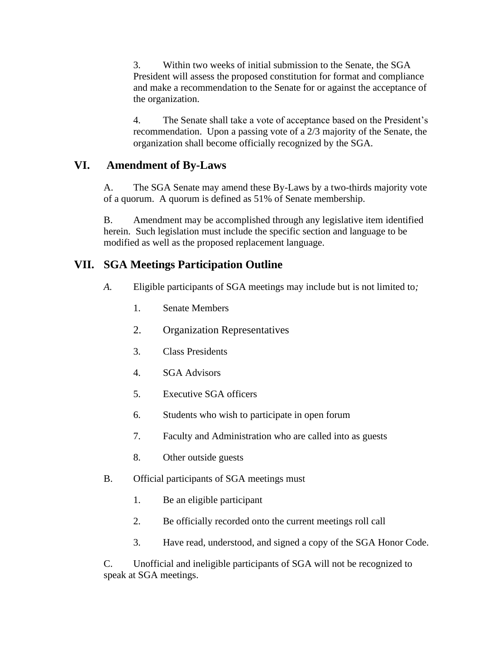3. Within two weeks of initial submission to the Senate, the SGA President will assess the proposed constitution for format and compliance and make a recommendation to the Senate for or against the acceptance of the organization.

4. The Senate shall take a vote of acceptance based on the President's recommendation. Upon a passing vote of a 2/3 majority of the Senate, the organization shall become officially recognized by the SGA.

### **VI. Amendment of By-Laws**

A. The SGA Senate may amend these By-Laws by a two-thirds majority vote of a quorum. A quorum is defined as 51% of Senate membership.

B. Amendment may be accomplished through any legislative item identified herein. Such legislation must include the specific section and language to be modified as well as the proposed replacement language.

## **VII. SGA Meetings Participation Outline**

- *A.* Eligible participants of SGA meetings may include but is not limited to*;*
	- 1. Senate Members
	- 2. Organization Representatives
	- 3. Class Presidents
	- 4. SGA Advisors
	- 5. Executive SGA officers
	- 6. Students who wish to participate in open forum
	- 7. Faculty and Administration who are called into as guests
	- 8. Other outside guests
- B. Official participants of SGA meetings must
	- 1. Be an eligible participant
	- 2. Be officially recorded onto the current meetings roll call
	- 3. Have read, understood, and signed a copy of the SGA Honor Code.

C. Unofficial and ineligible participants of SGA will not be recognized to speak at SGA meetings.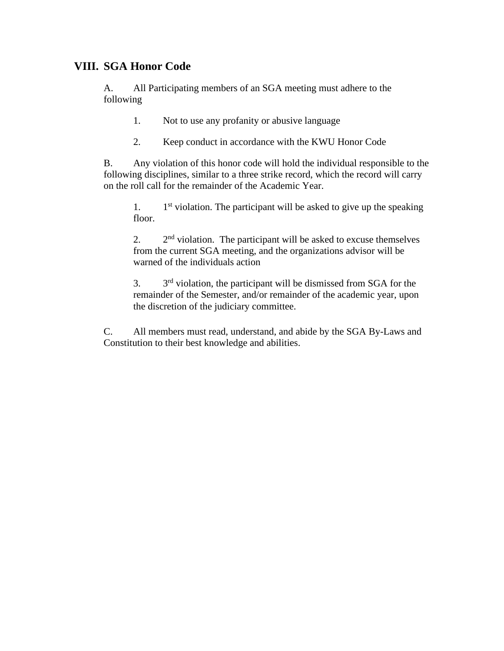#### **VIII. SGA Honor Code**

A. All Participating members of an SGA meeting must adhere to the following

- 1. Not to use any profanity or abusive language
- 2. Keep conduct in accordance with the KWU Honor Code

B. Any violation of this honor code will hold the individual responsible to the following disciplines, similar to a three strike record, which the record will carry on the roll call for the remainder of the Academic Year.

 $1<sub>1</sub>$  $1<sup>st</sup>$  violation. The participant will be asked to give up the speaking floor.

 $2.$  $2<sup>nd</sup>$  violation. The participant will be asked to excuse themselves from the current SGA meeting, and the organizations advisor will be warned of the individuals action

 $3<sub>1</sub>$  $3<sup>rd</sup>$  violation, the participant will be dismissed from SGA for the remainder of the Semester, and/or remainder of the academic year, upon the discretion of the judiciary committee.

C. All members must read, understand, and abide by the SGA By-Laws and Constitution to their best knowledge and abilities.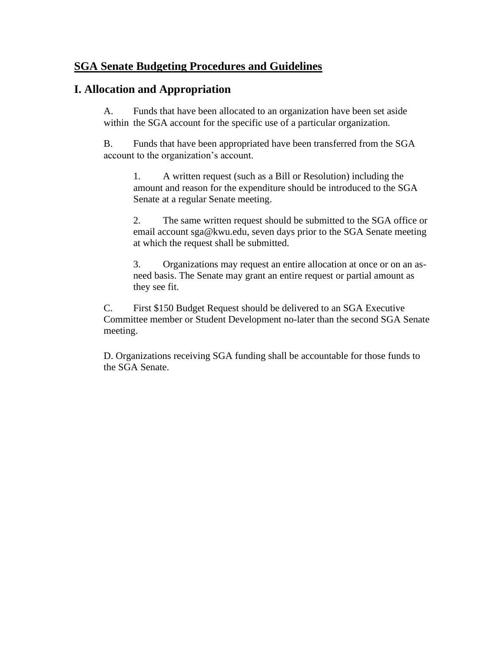### **SGA Senate Budgeting Procedures and Guidelines**

#### **I. Allocation and Appropriation**

A. Funds that have been allocated to an organization have been set aside within the SGA account for the specific use of a particular organization.

B. Funds that have been appropriated have been transferred from the SGA account to the organization's account.

1. A written request (such as a Bill or Resolution) including the amount and reason for the expenditure should be introduced to the SGA Senate at a regular Senate meeting.

2. The same written request should be submitted to the SGA office or email account sga@kwu.edu, seven days prior to the SGA Senate meeting at which the request shall be submitted.

3. Organizations may request an entire allocation at once or on an asneed basis. The Senate may grant an entire request or partial amount as they see fit.

C. First \$150 Budget Request should be delivered to an SGA Executive Committee member or Student Development no-later than the second SGA Senate meeting.

D. Organizations receiving SGA funding shall be accountable for those funds to the SGA Senate.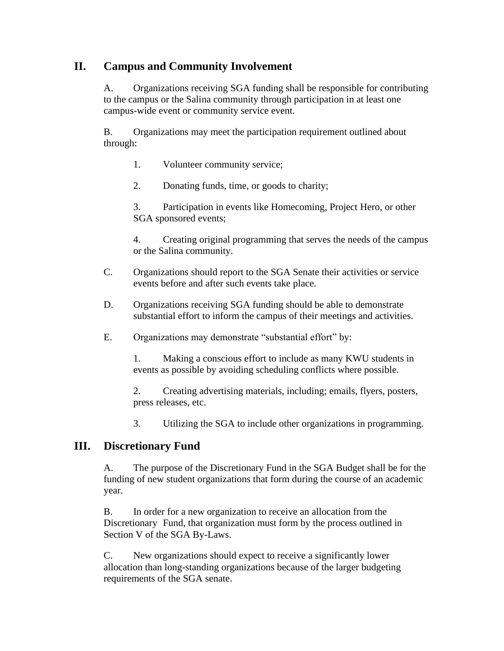## **II. Campus and Community Involvement**

A. Organizations receiving SGA funding shall be responsible for contributing to the campus or the Salina community through participation in at least one campus-wide event or community service event.

B. Organizations may meet the participation requirement outlined about through:

- 1. Volunteer community service;
- 2. Donating funds, time, or goods to charity;

3. Participation in events like Homecoming, Project Hero, or other SGA sponsored events;

4. Creating original programming that serves the needs of the campus or the Salina community.

- C. Organizations should report to the SGA Senate their activities or service events before and after such events take place.
- D. Organizations receiving SGA funding should be able to demonstrate substantial effort to inform the campus of their meetings and activities.
- E. Organizations may demonstrate "substantial effort" by:

1. Making a conscious effort to include as many KWU students in events as possible by avoiding scheduling conflicts where possible.

2. Creating advertising materials, including; emails, flyers, posters, press releases, etc.

3. Utilizing the SGA to include other organizations in programming.

### **III. Discretionary Fund**

A. The purpose of the Discretionary Fund in the SGA Budget shall be for the funding of new student organizations that form during the course of an academic year.

B. In order for a new organization to receive an allocation from the Discretionary Fund, that organization must form by the process outlined in Section V of the SGA By-Laws.

C. New organizations should expect to receive a significantly lower allocation than long-standing organizations because of the larger budgeting requirements of the SGA senate.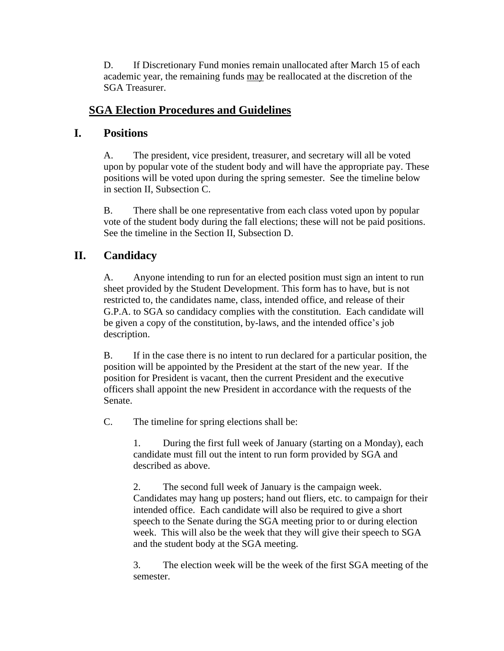D. If Discretionary Fund monies remain unallocated after March 15 of each academic year, the remaining funds may be reallocated at the discretion of the SGA Treasurer.

# **SGA Election Procedures and Guidelines**

#### **I. Positions**

A. The president, vice president, treasurer, and secretary will all be voted upon by popular vote of the student body and will have the appropriate pay. These positions will be voted upon during the spring semester. See the timeline below in section II, Subsection C.

B. There shall be one representative from each class voted upon by popular vote of the student body during the fall elections; these will not be paid positions. See the timeline in the Section II, Subsection D.

## **II. Candidacy**

A. Anyone intending to run for an elected position must sign an intent to run sheet provided by the Student Development. This form has to have, but is not restricted to, the candidates name, class, intended office, and release of their G.P.A. to SGA so candidacy complies with the constitution. Each candidate will be given a copy of the constitution, by-laws, and the intended office's job description.

B. If in the case there is no intent to run declared for a particular position, the position will be appointed by the President at the start of the new year. If the position for President is vacant, then the current President and the executive officers shall appoint the new President in accordance with the requests of the Senate.

C. The timeline for spring elections shall be:

1. During the first full week of January (starting on a Monday), each candidate must fill out the intent to run form provided by SGA and described as above.

2. The second full week of January is the campaign week. Candidates may hang up posters; hand out fliers, etc. to campaign for their intended office. Each candidate will also be required to give a short speech to the Senate during the SGA meeting prior to or during election week. This will also be the week that they will give their speech to SGA and the student body at the SGA meeting.

3. The election week will be the week of the first SGA meeting of the semester.